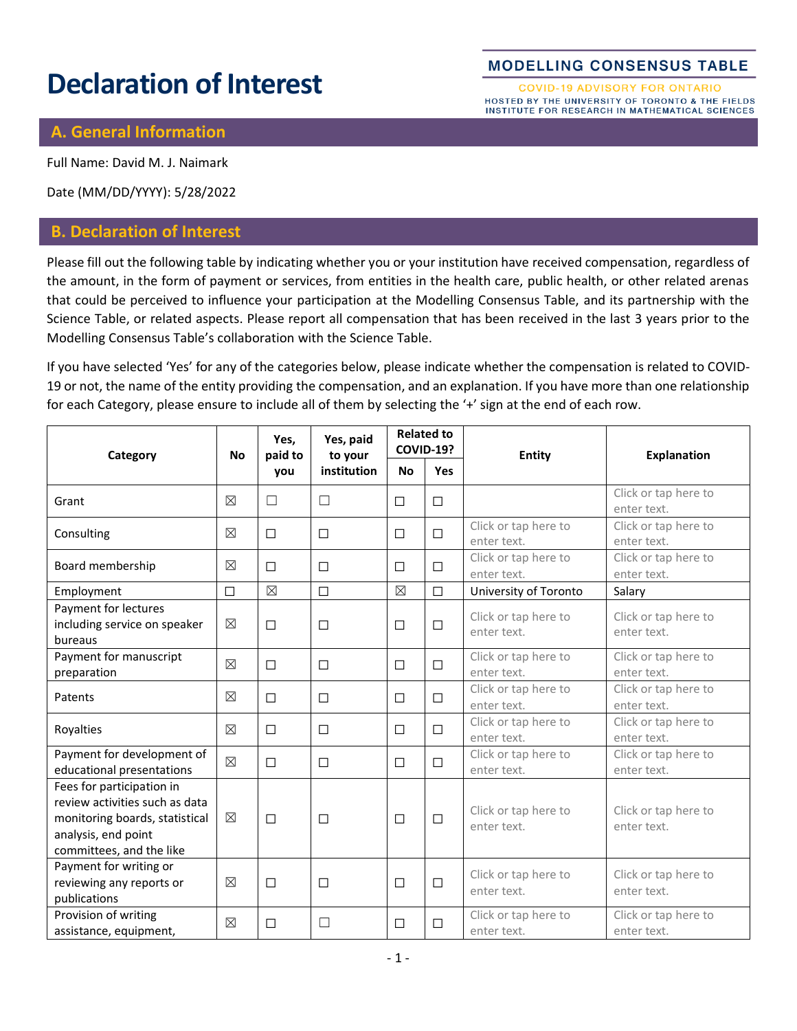# **Declaration of Interest**

#### **MODELLING CONSENSUS TABLE**

**COVID-19 ADVISORY FOR ONTARIO** HOSTED BY THE UNIVERSITY OF TORONTO & THE FIELDS INSTITUTE FOR RESEARCH IN MATHEMATICAL SCIENCES

#### **A. General Information**

Full Name: David M. J. Naimark

Date (MM/DD/YYYY): 5/28/2022

## **B. Declaration of Interest**

Please fill out the following table by indicating whether you or your institution have received compensation, regardless of the amount, in the form of payment or services, from entities in the health care, public health, or other related arenas that could be perceived to influence your participation at the Modelling Consensus Table, and its partnership with the Science Table, or related aspects. Please report all compensation that has been received in the last 3 years prior to the Modelling Consensus Table's collaboration with the Science Table.

If you have selected 'Yes' for any of the categories below, please indicate whether the compensation is related to COVID-19 or not, the name of the entity providing the compensation, and an explanation. If you have more than one relationship for each Category, please ensure to include all of them by selecting the '+' sign at the end of each row.

| Category                                                                                                                                         | <b>No</b>   | Yes,<br>paid to<br>you | Yes, paid<br>to your<br>institution | <b>Related to</b><br><b>COVID-19?</b> |            | Entity                              | <b>Explanation</b>                  |
|--------------------------------------------------------------------------------------------------------------------------------------------------|-------------|------------------------|-------------------------------------|---------------------------------------|------------|-------------------------------------|-------------------------------------|
|                                                                                                                                                  |             |                        |                                     | <b>No</b>                             | <b>Yes</b> |                                     |                                     |
| Grant                                                                                                                                            | $\boxtimes$ | $\Box$                 | $\Box$                              | □                                     | $\Box$     |                                     | Click or tap here to<br>enter text. |
| Consulting                                                                                                                                       | $\boxtimes$ | $\Box$                 | □                                   | $\Box$                                | $\Box$     | Click or tap here to<br>enter text. | Click or tap here to<br>enter text. |
| Board membership                                                                                                                                 | $\boxtimes$ | □                      | □                                   | $\Box$                                | □          | Click or tap here to<br>enter text. | Click or tap here to<br>enter text. |
| Employment                                                                                                                                       | $\Box$      | $\boxtimes$            | $\Box$                              | $\boxtimes$                           | $\Box$     | University of Toronto               | Salary                              |
| Payment for lectures<br>including service on speaker<br>bureaus                                                                                  | $\boxtimes$ | $\Box$                 | □                                   | $\Box$                                | $\Box$     | Click or tap here to<br>enter text. | Click or tap here to<br>enter text. |
| Payment for manuscript<br>preparation                                                                                                            | $\boxtimes$ | $\Box$                 | □                                   | $\Box$                                | $\Box$     | Click or tap here to<br>enter text. | Click or tap here to<br>enter text. |
| Patents                                                                                                                                          | ⊠           | $\Box$                 | □                                   | $\Box$                                | $\Box$     | Click or tap here to<br>enter text. | Click or tap here to<br>enter text. |
| Royalties                                                                                                                                        | $\boxtimes$ | $\Box$                 | □                                   | $\Box$                                | П          | Click or tap here to<br>enter text. | Click or tap here to<br>enter text. |
| Payment for development of<br>educational presentations                                                                                          | $\boxtimes$ | $\Box$                 | □                                   | $\Box$                                | $\Box$     | Click or tap here to<br>enter text. | Click or tap here to<br>enter text. |
| Fees for participation in<br>review activities such as data<br>monitoring boards, statistical<br>analysis, end point<br>committees, and the like | $\boxtimes$ | $\Box$                 | □                                   | $\Box$                                | $\Box$     | Click or tap here to<br>enter text. | Click or tap here to<br>enter text. |
| Payment for writing or<br>reviewing any reports or<br>publications                                                                               | $\boxtimes$ | □                      | □                                   | $\Box$                                | $\Box$     | Click or tap here to<br>enter text. | Click or tap here to<br>enter text. |
| Provision of writing<br>assistance, equipment,                                                                                                   | $\boxtimes$ | □                      | □                                   | $\Box$                                | $\Box$     | Click or tap here to<br>enter text. | Click or tap here to<br>enter text. |